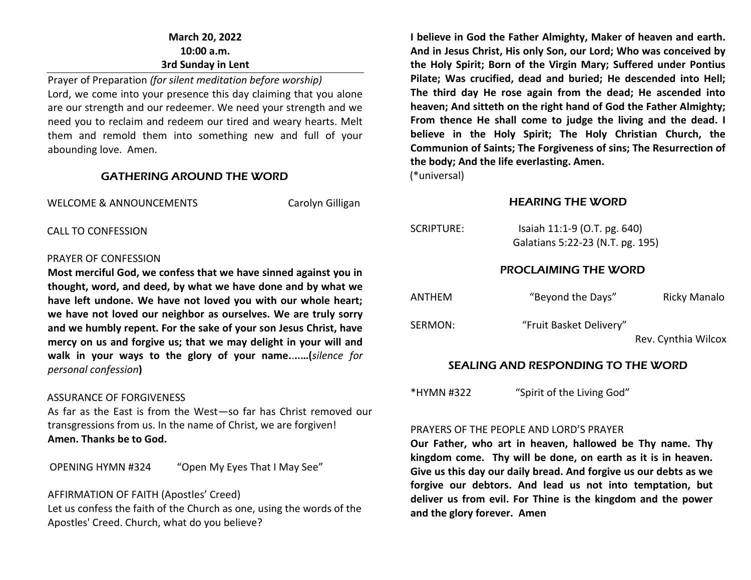# **March 20, 2022 10:00 a.m. 3rd Sunday in Lent**

Prayer of Preparation *(for silent meditation before worship)* Lord, we come into your presence this day claiming that you alone are our strength and our redeemer. We need your strength and we need you to reclaim and redeem our tired and weary hearts. Melt them and remold them into something new and full of your abounding love. Amen.

#### GATHERING AROUND THE WORD

WELCOME & ANNOUNCEMENTS Carolyn Gilligan

CALL TO CONFESSION

#### PRAYER OF CONFESSION

**Most merciful God, we confess that we have sinned against you in thought, word, and deed, by what we have done and by what we have left undone. We have not loved you with our whole heart; we have not loved our neighbor as ourselves. We are truly sorry and we humbly repent. For the sake of your son Jesus Christ, have mercy on us and forgive us; that we may delight in your will and walk in your ways to the glory of your name.**.**..…(***silence for personal confession***)**

#### ASSURANCE OF FORGIVENESS

As far as the East is from the West—so far has Christ removed our transgressions from us. In the name of Christ, we are forgiven! **Amen. Thanks be to God.**

OPENING HYMN #324 "Open My Eyes That I May See"

#### AFFIRMATION OF FAITH (Apostles' Creed)

Let us confess the faith of the Church as one, using the words of the Apostles' Creed. Church, what do you believe?

**I believe in God the Father Almighty, Maker of heaven and earth. And in Jesus Christ, His only Son, our Lord; Who was conceived by the Holy Spirit; Born of the Virgin Mary; Suffered under Pontius Pilate; Was crucified, dead and buried; He descended into Hell; The third day He rose again from the dead; He ascended into heaven; And sitteth on the right hand of God the Father Almighty; From thence He shall come to judge the living and the dead. I believe in the Holy Spirit; The Holy Christian Church, the Communion of Saints; The Forgiveness of sins; The Resurrection of the body; And the life everlasting. Amen.**

(\*universal)

#### HEARING THE WORD

| SCRIPTURE: | Isaiah 11:1-9 (O.T. pg. 640)<br>Galatians 5:22-23 (N.T. pg. 195) |                     |
|------------|------------------------------------------------------------------|---------------------|
|            | <b>PROCLAIMING THE WORD</b>                                      |                     |
| ANTHEM     | "Beyond the Days"                                                | <b>Ricky Manalo</b> |
| SERMON:    | "Fruit Basket Delivery"                                          | Rev. Cynthia Wilcox |

# SEALING AND RESPONDING TO THE WORD

\*HYMN #322 "Spirit of the Living God"

#### PRAYERS OF THE PEOPLE AND LORD'S PRAYER

**Our Father, who art in heaven, hallowed be Thy name. Thy kingdom come. Thy will be done, on earth as it is in heaven. Give us this day our daily bread. And forgive us our debts as we forgive our debtors. And lead us not into temptation, but deliver us from evil. For Thine is the kingdom and the power and the glory forever. Amen**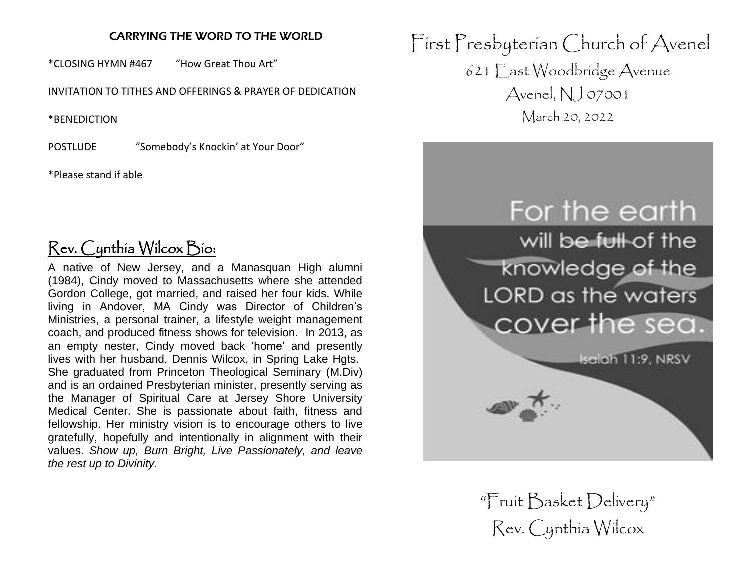# CARRYING THE WORD TO THE WORLD

\*CLOSING HYMN #467 "How Great Thou Art"

INVITATION TO TITHES AND OFFERINGS & PRAYER OF DEDICATION

\*BENEDICTION

POSTLUDE "Somebody's Knockin' at Your Door"

\*Please stand if able

# Rev. Cynthia Wilcox Bio:

A native of New Jersey, and a Manasquan High alumni (1984), Cindy moved to Massachusetts where she attended Gordon College, got married, and raised her four kids. While living in Andover, MA Cindy was Director of Children's Ministries, a personal trainer, a lifestyle weight management coach, and produced fitness shows for television. In 2013, as an empty nester, Cindy moved back 'home' and presently lives with her husband, Dennis Wilcox, in Spring Lake Hgts. She graduated from Princeton Theological Seminary (M.Div) and is an ordained Presbyterian minister, presently serving as the Manager of Spiritual Care at Jersey Shore University Medical Center. She is passionate about faith, fitness and fellowship. Her ministry vision is to encourage others to live gratefully, hopefully and intentionally in alignment with their values. *Show up, Burn Bright, Live Passionately, and leave the rest up to Divinity.*

First Presbyterian Church of Avenel 621 East Woodbridge Avenue Avenel,  $NJ$  07001 March 20, 2022



"Fruit Basket Delivery" Rev. Cynthia Wilcox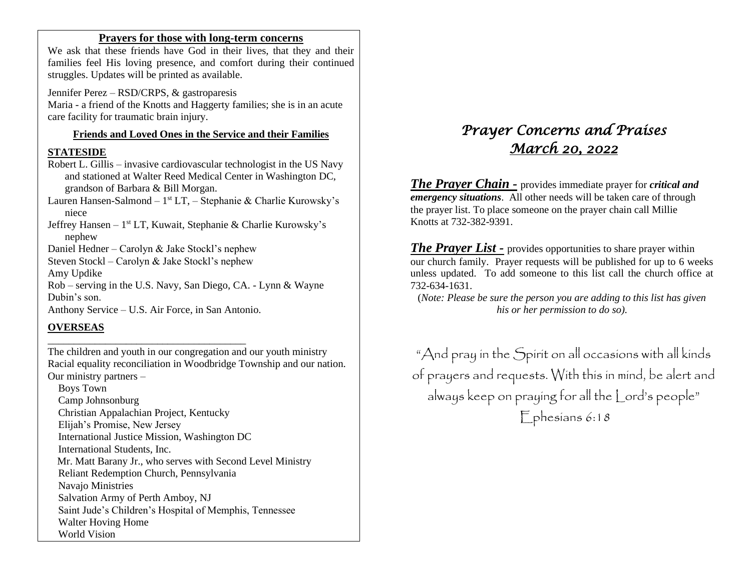#### **Prayers for those with long-term concerns**

We ask that these friends have God in their lives, that they and their families feel His loving presence, and comfort during their continued struggles. Updates will be printed as available.

Jennifer Perez – RSD/CRPS, & gastroparesis Maria - a friend of the Knotts and Haggerty families; she is in an acute care facility for traumatic brain injury.

#### **Friends and Loved Ones in the Service and their Families**

#### **STATESIDE**

Robert L. Gillis – invasive cardiovascular technologist in the US Navy and stationed at Walter Reed Medical Center in Washington DC, grandson of Barbara & Bill Morgan.

Lauren Hansen-Salmond – 1<sup>st</sup> LT, – Stephanie & Charlie Kurowsky's niece

Jeffrey Hansen - 1<sup>st</sup> LT, Kuwait, Stephanie & Charlie Kurowsky's nephew

Daniel Hedner – Carolyn & Jake Stockl's nephew

Steven Stockl – Carolyn & Jake Stockl's nephew

Amy Updike

Rob – serving in the U.S. Navy, San Diego, CA. - Lynn & Wayne Dubin's son.

Anthony Service – U.S. Air Force, in San Antonio.

\_\_\_\_\_\_\_\_\_\_\_\_\_\_\_\_\_\_\_\_\_\_\_\_\_\_\_\_\_\_\_\_\_\_\_\_\_\_

#### **OVERSEAS**

The children and youth in our congregation and our youth ministry Racial equality reconciliation in Woodbridge Township and our nation. Our ministry partners –

 Boys Town Camp Johnsonburg Christian Appalachian Project, Kentucky Elijah's Promise, New Jersey International Justice Mission, Washington DC International Students, Inc. Mr. Matt Barany Jr., who serves with Second Level Ministry Reliant Redemption Church, Pennsylvania Navajo Ministries Salvation Army of Perth Amboy, NJ Saint Jude's Children's Hospital of Memphis, Tennessee Walter Hoving Home World Vision

# *Prayer Concerns and Praises March 20, 2022*

*The Prayer Chain -* provides immediate prayer for *critical and emergency situations*. All other needs will be taken care of through the prayer list. To place someone on the prayer chain call Millie Knotts at 732-382-9391.

*The Prayer List -* provides opportunities to share prayer within our church family. Prayer requests will be published for up to 6 weeks unless updated. To add someone to this list call the church office at 732-634-1631.

(*Note: Please be sure the person you are adding to this list has given his or her permission to do so).*

"And pray in the Spirit on all occasions with all kinds of prayers and requests. With this in mind, be alert and always keep on praying for all the Lord's people" Ephesians 6:18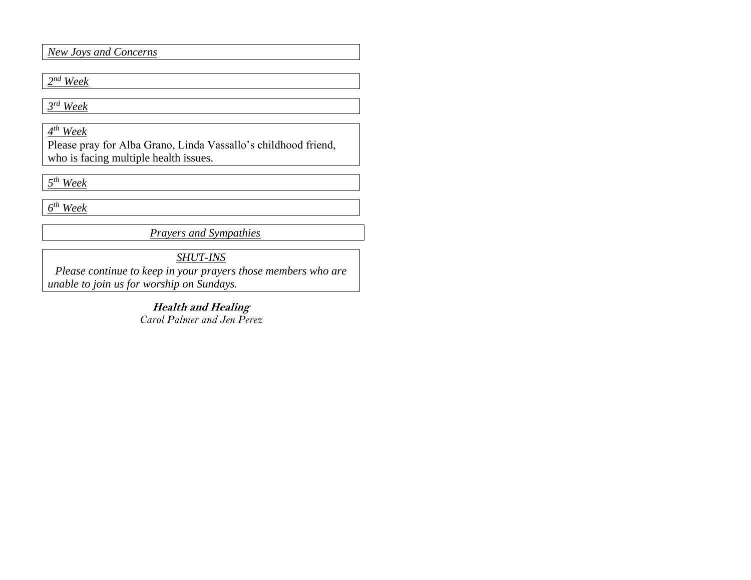*New Joys and Concerns*

# *2 nd Week*

*3 rd Week*

*4 th Week*

Please pray for Alba Grano, Linda Vassallo's childhood friend, who is facing multiple health issues.

*5 th Week*

*6 th Week* 

*Prayers and Sympathies*

*SHUT-INS*

*Please continue to keep in your prayers those members who are unable to join us for worship on Sundays.* 

> **Health and Healing** *Carol Palmer and Jen Perez*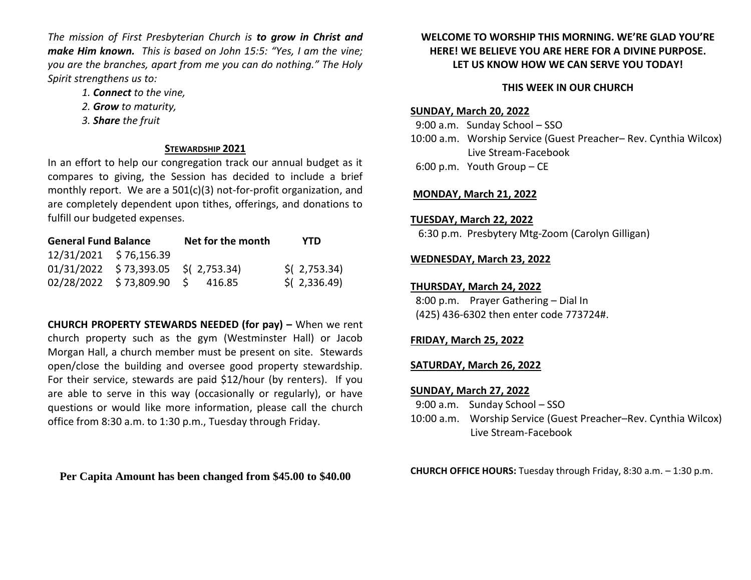*The mission of First Presbyterian Church is to grow in Christ and make Him known. This is based on John 15:5: "Yes, I am the vine; you are the branches, apart from me you can do nothing." The Holy Spirit strengthens us to:* 

- *1. Connect to the vine,*
- *2. Grow to maturity,*
- *3. Share the fruit*

#### **STEWARDSHIP 2021**

In an effort to help our congregation track our annual budget as it compares to giving, the Session has decided to include a brief monthly report. We are a 501(c)(3) not-for-profit organization, and are completely dependent upon tithes, offerings, and donations to fulfill our budgeted expenses.

| <b>General Fund Balance</b> |                                       | Net for the month | YTD            |
|-----------------------------|---------------------------------------|-------------------|----------------|
| 12/31/2021 \$76,156.39      |                                       |                   |                |
|                             | $01/31/2022$ \$73,393.05 \$(2,753.34) |                   | $$$ (2,753.34) |
|                             | 02/28/2022 \$73,809.90 \$ 416.85      |                   | $$$ (2,336.49) |

**CHURCH PROPERTY STEWARDS NEEDED (for pay) –** When we rent church property such as the gym (Westminster Hall) or Jacob Morgan Hall, a church member must be present on site. Stewards open/close the building and oversee good property stewardship. For their service, stewards are paid \$12/hour (by renters). If you are able to serve in this way (occasionally or regularly), or have questions or would like more information, please call the church office from 8:30 a.m. to 1:30 p.m., Tuesday through Friday.

**Per Capita Amount has been changed from \$45.00 to \$40.00**

## **WELCOME TO WORSHIP THIS MORNING. WE'RE GLAD YOU'RE HERE! WE BELIEVE YOU ARE HERE FOR A DIVINE PURPOSE. LET US KNOW HOW WE CAN SERVE YOU TODAY!**

## **THIS WEEK IN OUR CHURCH**

#### **SUNDAY, March 20, 2022**

 9:00 a.m. Sunday School – SSO 10:00 a.m. Worship Service (Guest Preacher– Rev. Cynthia Wilcox) Live Stream-Facebook 6:00 p.m. Youth Group – CE

#### **MONDAY, March 21, 2022**

#### **TUESDAY, March 22, 2022**

6:30 p.m. Presbytery Mtg-Zoom (Carolyn Gilligan)

#### **WEDNESDAY, March 23, 2022**

#### **THURSDAY, March 24, 2022**

 8:00 p.m. Prayer Gathering – Dial In (425) 436-6302 then enter code 773724#.

# **FRIDAY, March 25, 2022**

#### **SATURDAY, March 26, 2022**

#### **SUNDAY, March 27, 2022**

- 9:00 a.m. Sunday School SSO
- 10:00 a.m. Worship Service (Guest Preacher–Rev. Cynthia Wilcox) Live Stream-Facebook

**CHURCH OFFICE HOURS:** Tuesday through Friday, 8:30 a.m. – 1:30 p.m.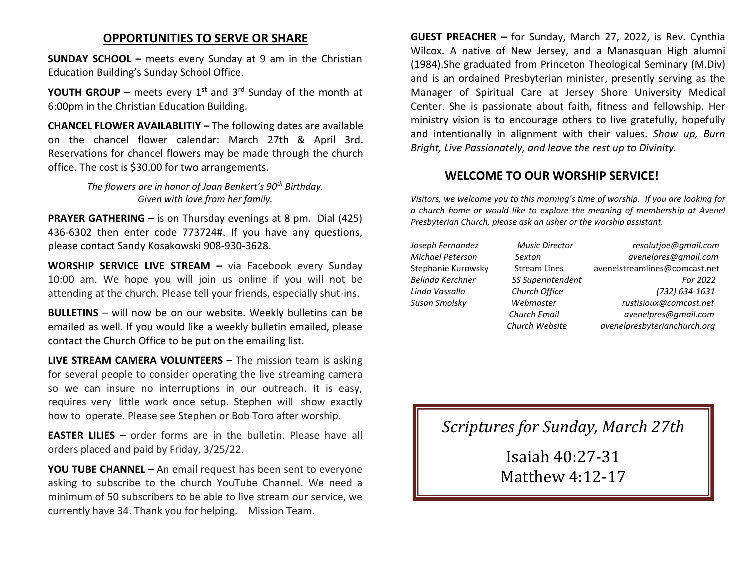# **OPPORTUNITIES TO SERVE OR SHARE**

**SUNDAY SCHOOL –** meets every Sunday at 9 am in the Christian Education Building's Sunday School Office.

**YOUTH GROUP –** meets every  $1^{st}$  and  $3^{rd}$  Sunday of the month at 6:00pm in the Christian Education Building.

**CHANCEL FLOWER AVAILABLITIY –** The following dates are available on the chancel flower calendar: March 27th & April 3rd. Reservations for chancel flowers may be made through the church office. The cost is \$30.00 for two arrangements.

> *The flowers are in honor of Joan Benkert's 90th Birthday. Given with love from her family.*

**PRAYER GATHERING –** is on Thursday evenings at 8 pm. Dial (425) 436-6302 then enter code 773724#. If you have any questions, please contact Sandy Kosakowski 908-930-3628.

**WORSHIP SERVICE LIVE STREAM –** via Facebook every Sunday 10:00 am. We hope you will join us online if you will not be attending at the church. Please tell your friends, especially shut-ins.

**BULLETINS** – will now be on our website. Weekly bulletins can be emailed as well. If you would like a weekly bulletin emailed, please contact the Church Office to be put on the emailing list.

**LIVE STREAM CAMERA VOLUNTEERS** – The mission team is asking for several people to consider operating the live streaming camera so we can insure no interruptions in our outreach. It is easy, requires very little work once setup. Stephen will show exactly how to operate. Please see Stephen or Bob Toro after worship.

**EASTER LILIES** – order forms are in the bulletin. Please have all orders placed and paid by Friday, 3/25/22.

**YOU TUBE CHANNEL** – An email request has been sent to everyone asking to subscribe to the church YouTube Channel. We need a minimum of 50 subscribers to be able to live stream our service, we currently have 34. Thank you for helping. Mission Team.

**GUEST PREACHER –** for Sunday, March 27, 2022, is Rev. Cynthia Wilcox. A native of New Jersey, and a Manasquan High alumni (1984).She graduated from Princeton Theological Seminary (M.Div) and is an ordained Presbyterian minister, presently serving as the Manager of Spiritual Care at Jersey Shore University Medical Center. She is passionate about faith, fitness and fellowship. Her ministry vision is to encourage others to live gratefully, hopefully and intentionally in alignment with their values. *Show up, Burn Bright, Live Passionately, and leave the rest up to Divinity.*

# **WELCOME TO OUR WORSHIP SERVICE!**

*Visitors, we welcome you to this morning's time of worship. If you are looking for a church home or would like to explore the meaning of membership at Avenel Presbyterian Church, please ask an usher or the worship assistant.*

*Joseph Fernandez Music Director resolutjoe@gmail.com Michael Peterson Sexton avenelpres@gmail.com* Stephanie Kurowsky Stream Lines [avenelstreamlines@comcast.net](mailto:avenelstreamlines@comcast.net) *Belinda Kerchner SS Superintendent For 2022 Linda Vassallo Church Office (732) 634-1631 Susan Smolsky Webmaster rustisioux@comcast.net Church Email avenelpres@gmail.com Church Website avenelpresbyterianchurch.org*

*Scriptures for Sunday, March 27th*

Isaiah 40:27-31 Matthew 4:12-17